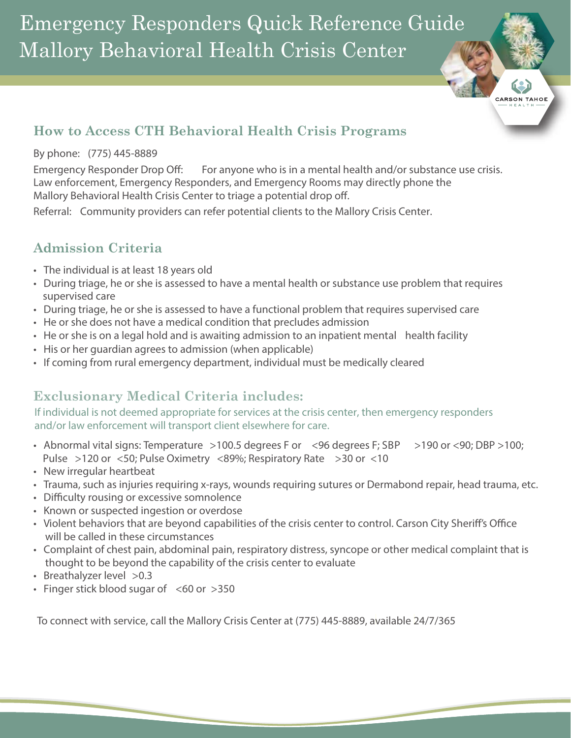Emergency Responders Quick Reference Guide Mallory Behavioral Health Crisis Center

## **How to Access CTH Behavioral Health Crisis Programs**

#### By phone: (775) 445-8889

Emergency Responder Drop Off: For anyone who is in a mental health and/or substance use crisis. Law enforcement, Emergency Responders, and Emergency Rooms may directly phone the Mallory Behavioral Health Crisis Center to triage a potential drop off.

--<br>CARSON TAHOE

Referral: Community providers can refer potential clients to the Mallory Crisis Center.

# **Admission Criteria**

- The individual is at least 18 years old
- During triage, he or she is assessed to have a mental health or substance use problem that requires supervised care
- During triage, he or she is assessed to have a functional problem that requires supervised care
- He or she does not have a medical condition that precludes admission
- He or she is on a legal hold and is awaiting admission to an inpatient mental health facility
- His or her guardian agrees to admission (when applicable)
- If coming from rural emergency department, individual must be medically cleared

# **Exclusionary Medical Criteria includes:**

If individual is not deemed appropriate for services at the crisis center, then emergency responders and/or law enforcement will transport client elsewhere for care.

- Abnormal vital signs: Temperature >100.5 degrees F or <96 degrees F; SBP >190 or <90; DBP >100; Pulse >120 or <50; Pulse Oximetry <89%; Respiratory Rate >30 or <10
- New irregular heartbeat
- Trauma, such as injuries requiring x-rays, wounds requiring sutures or Dermabond repair, head trauma, etc.
- Difficulty rousing or excessive somnolence
- Known or suspected ingestion or overdose
- Violent behaviors that are beyond capabilities of the crisis center to control. Carson City Sheriff's Office will be called in these circumstances
- Complaint of chest pain, abdominal pain, respiratory distress, syncope or other medical complaint that is thought to be beyond the capability of the crisis center to evaluate
- Breathalyzer level >0.3
- Finger stick blood sugar of  $\leq 60$  or  $>350$

To connect with service, call the Mallory Crisis Center at (775) 445-8889, available 24/7/365